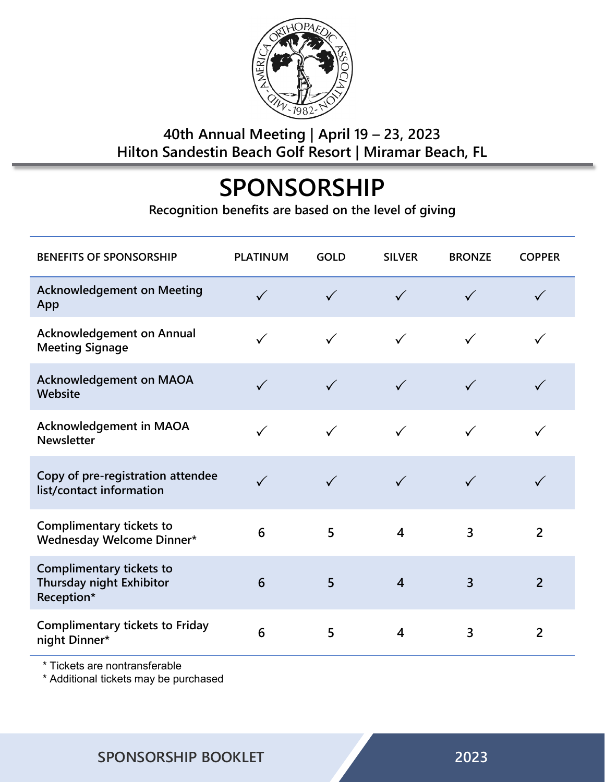

### **40th Annual Meeting | April 19 – 23, 2023 Hilton Sandestin Beach Golf Resort | Miramar Beach, FL**

# **SPONSORSHIP**

**Recognition benefits are based on the level of giving**

| <b>BENEFITS OF SPONSORSHIP</b>                                            | <b>PLATINUM</b> | <b>GOLD</b>  | <b>SILVER</b>           | <b>BRONZE</b>  | <b>COPPER</b>  |
|---------------------------------------------------------------------------|-----------------|--------------|-------------------------|----------------|----------------|
| <b>Acknowledgement on Meeting</b><br>App                                  | $\checkmark$    | $\checkmark$ | $\checkmark$            | $\checkmark$   | $\checkmark$   |
| <b>Acknowledgement on Annual</b><br><b>Meeting Signage</b>                | $\checkmark$    | $\checkmark$ | $\checkmark$            | $\checkmark$   |                |
| <b>Acknowledgement on MAOA</b><br>Website                                 | $\checkmark$    | $\checkmark$ | $\checkmark$            | $\checkmark$   |                |
| <b>Acknowledgement in MAOA</b><br><b>Newsletter</b>                       |                 | $\checkmark$ | $\checkmark$            | $\checkmark$   |                |
| Copy of pre-registration attendee<br>list/contact information             |                 |              | $\checkmark$            | $\checkmark$   |                |
| Complimentary tickets to<br>Wednesday Welcome Dinner*                     | 6               | 5            | $\overline{\mathbf{4}}$ | 3              | $\overline{2}$ |
| <b>Complimentary tickets to</b><br>Thursday night Exhibitor<br>Reception* | 6               | 5            | $\overline{4}$          | $\overline{3}$ | $\overline{2}$ |
| <b>Complimentary tickets to Friday</b><br>night Dinner*                   | 6               | 5            | $\overline{\mathbf{4}}$ | 3              | $\overline{2}$ |

\* Tickets are nontransferable

\* Additional tickets may be purchased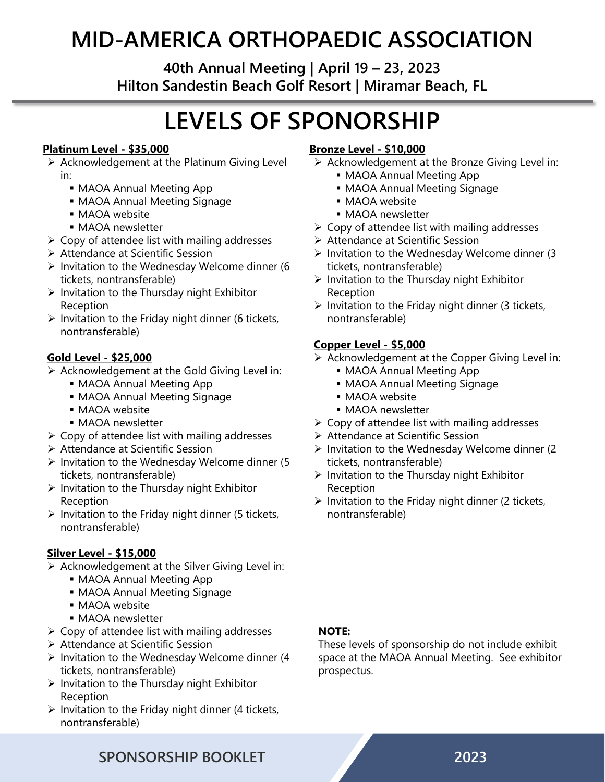## **MID-AMERICA ORTHOPAEDIC ASSOCIATION**

**40th Annual Meeting | April 19 – 23, 2023 Hilton Sandestin Beach Golf Resort | Miramar Beach, FL**

# **LEVELS OF SPONORSHIP**

#### **Platinum Level - \$35,000**

- $\triangleright$  Acknowledgement at the Platinum Giving Level in:
	- MAOA Annual Meeting App
	- MAOA Annual Meeting Signage
	- **MAOA** website
	- **MAOA** newsletter
- $\triangleright$  Copy of attendee list with mailing addresses
- Attendance at Scientific Session
- $\triangleright$  Invitation to the Wednesday Welcome dinner (6 tickets, nontransferable)
- $\triangleright$  Invitation to the Thursday night Exhibitor Reception
- $\triangleright$  Invitation to the Friday night dinner (6 tickets, nontransferable)

#### **Gold Level - \$25,000**

- $\triangleright$  Acknowledgement at the Gold Giving Level in:
	- MAOA Annual Meeting App
	- MAOA Annual Meeting Signage
	- **MAOA** website
	- **MAOA** newsletter
- $\triangleright$  Copy of attendee list with mailing addresses
- Attendance at Scientific Session
- $\triangleright$  Invitation to the Wednesday Welcome dinner (5 tickets, nontransferable)
- $\triangleright$  Invitation to the Thursday night Exhibitor Reception
- $\triangleright$  Invitation to the Friday night dinner (5 tickets, nontransferable)

#### **Silver Level - \$15,000**

- $\triangleright$  Acknowledgement at the Silver Giving Level in:
	- MAOA Annual Meeting App
	- MAOA Annual Meeting Signage
	- **MAOA** website
	- **MAOA** newsletter
- $\triangleright$  Copy of attendee list with mailing addresses
- ▶ Attendance at Scientific Session
- $\triangleright$  Invitation to the Wednesday Welcome dinner (4 tickets, nontransferable)
- $\triangleright$  Invitation to the Thursday night Exhibitor Reception
- $\triangleright$  Invitation to the Friday night dinner (4 tickets, nontransferable)

#### **Bronze Level - \$10,000**

- $\triangleright$  Acknowledgement at the Bronze Giving Level in:
	- MAOA Annual Meeting App
	- MAOA Annual Meeting Signage
	- MAOA website
	- **MAOA** newsletter
- $\triangleright$  Copy of attendee list with mailing addresses
- Attendance at Scientific Session
- $\triangleright$  Invitation to the Wednesday Welcome dinner (3 tickets, nontransferable)
- $\triangleright$  Invitation to the Thursday night Exhibitor Reception
- $\triangleright$  Invitation to the Friday night dinner (3 tickets, nontransferable)

#### **Copper Level - \$5,000**

 $\triangleright$  Acknowledgement at the Copper Giving Level in:

- MAOA Annual Meeting App
- MAOA Annual Meeting Signage
- MAOA website
- **MAOA** newsletter
- $\triangleright$  Copy of attendee list with mailing addresses
- ▶ Attendance at Scientific Session
- $\triangleright$  Invitation to the Wednesday Welcome dinner (2) tickets, nontransferable)
- $\triangleright$  Invitation to the Thursday night Exhibitor Reception
- $\triangleright$  Invitation to the Friday night dinner (2 tickets, nontransferable)

#### **NOTE:**

These levels of sponsorship do not include exhibit space at the MAOA Annual Meeting. See exhibitor prospectus.

### **SPONSORSHIP BOOKLET 2023**